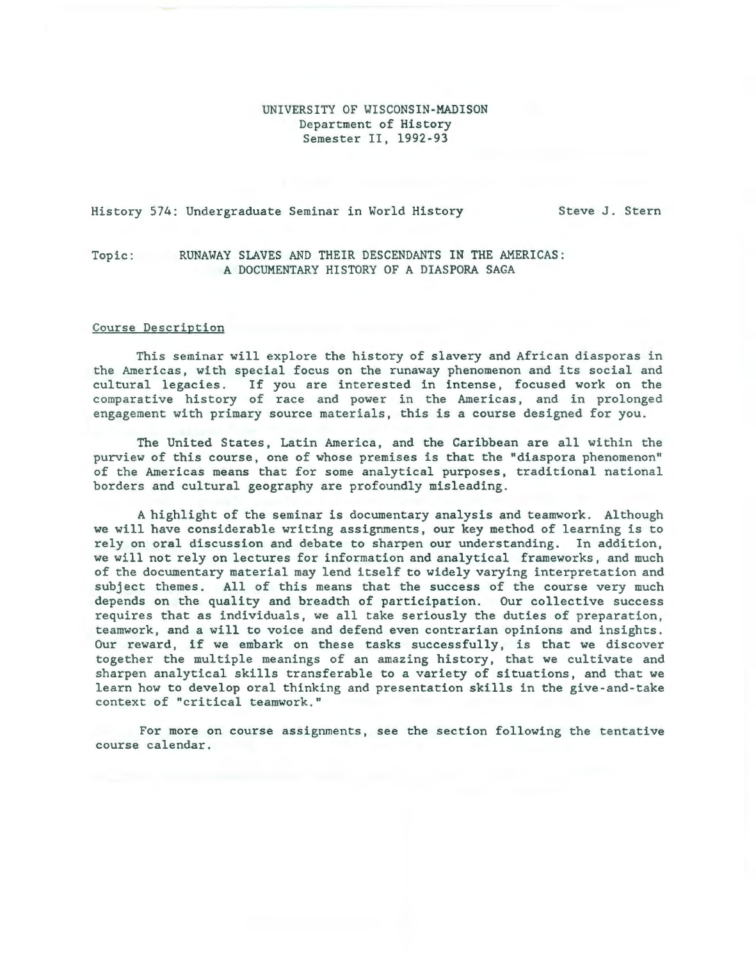## UNIVERSITY OF WISCONSIN-MADISON Department of History Semester II, 1992-93

## History 574: Undergraduate Seminar in World History Steve J. Stern

# Topic: RUNAWAY SLAVES AND THEIR DESCENDANTS IN THE AMERICAS: A DOCUMENTARY HISTORY OF A DIASPORA SAGA

#### Course Description

This seminar will explore the history of slavery and African diasporas in the Americas, with special focus on the runaway phenomenon and its social and cultural legacies. If you are interested in intense, focused work on the comparative history of race and power in the Americas, and in prolonged engagement with primary source materials, this is a course designed for you.

The United States, Latin America, and the Caribbean are all within the purview of this course, one of whose premises is that the "diaspora phenomenon" of the Americas means that for some analytical purposes, traditional national borders and cultural geography are profoundly misleading.

A highlight of the seminar is documentary analysis and teamwork. Although we will have considerable writing assignments, our key method of learning is to rely on oral discussion and debate to sharpen our understanding. In addition, we will not rely on lectures for information and analytical frameworks, and much of the documentary material may lend itself to widely varying interpretation and subject themes. All of this means that the success of the course very much depends on the quality and breadth of participation. Our collective success requires that as individuals, we all take seriously the duties of preparation, teamwork, and a will to voice and defend even contrarian opinions and insights. Our reward, if we embark on these tasks successfully, is that we discover together the multiple meanings of an amazing history, that we cultivate and sharpen analytical skills transferable to a variety of situations, and that we learn how to develop oral thinking and presentation skills in the give-and-take context of "critical teamwork."

For more on course assignments, see the section following the tentative course calendar.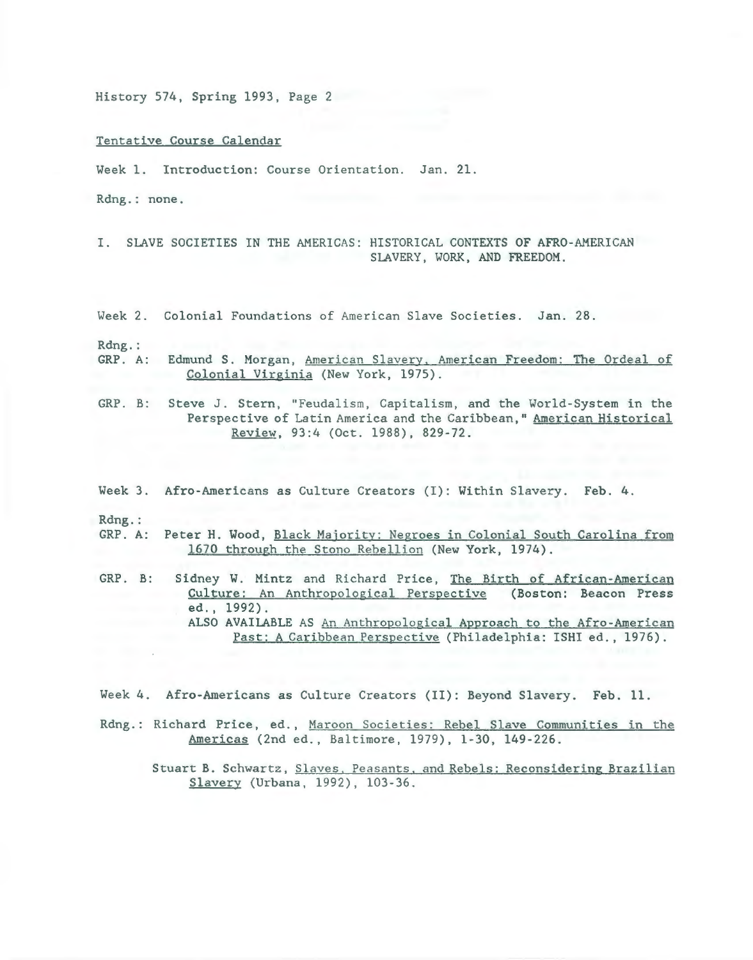Tentative Course Calendar

Week 1. Introduction: Course Orientation. Jan. 21.

Rdng. : none .

I. SLAVE SOCIETIES IN THE AMERICAS: HISTORICAL CONTEXTS OF AFRO-AMERICAN SLAVERY, WORK, AND FREEDOM.

Week 2. Colonial Foundations of American Slave Societies. Jan. 28.

Rdng.:

- GRP. A: Edmund S. Morgan, American Slavery. American Freedom: The Ordeal of Colonial Virginia (New York, 1975).
- GRP. B: Steve J. Stern, "Feudalism, Capitalism, and the World-System in the Perspective of Latin America and the Caribbean," American Historical Review, 93:4 (Oct. 1988), 829-72.
- Week 3. Afro-Americans as Culture Creators (I): Within Slavery. Feb. 4.

Rdng.:

- GRP. A: Peter H. Wood, Black Majority: Negroes in Colonial South Carolina from 1670 through the Stono Rebellion (New York, 1974).
- GRP. B: Sidney W. Mintz and Richard Price, The Birth of African-American Culture: An Anthropological Perspective (Boston: Beacon Press ed., 1992). ALSO AVAILABLE AS An Anthropological Approach to the Afro-American Past: A Caribbean Perspective (Philadelphia: ISHI ed., 1976).
- Week 4. Afro-Americans as Culture Creators (II): Beyond Slavery. Feb. 11.
- Rdng.: Richard Price, ed., Maroon Societies: Rebel Slave Communities in the Americas (2nd ed. , Baltimore, 1979), 1-30, 149-226.

Stuart B. Schwartz, Slaves, Peasants, and Rebels: Reconsidering Brazilian Slavery (Urbana, 1992), 103-36 .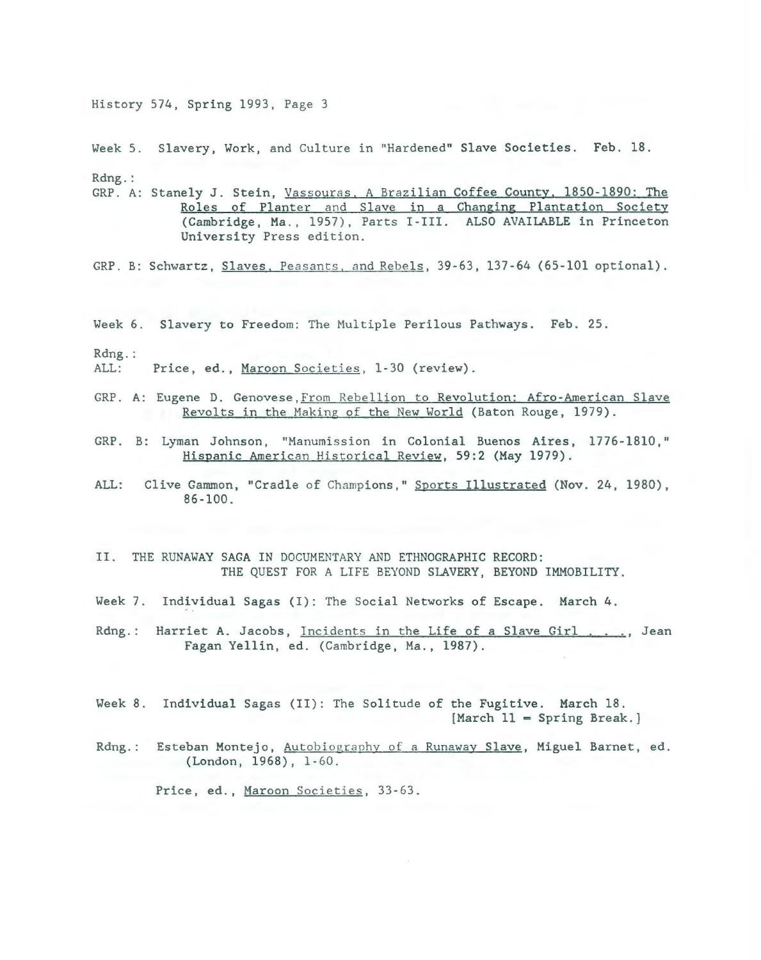Week 5. Slavery, Work, and Culture in "Hardened" Slave Societies. Feb. 18. Rdng.:

GRP. A: Stanely J. Stein, Vassouras, A Brazilian Coffee County, 1850-1890: The Roles of Planter and Slave in a Changing Plantation Society (Cambridge, Ma., 1957), Parts I-III. ALSO AVAILABLE in Princeton University Press edition.

GRP. B: Schwartz, Slaves, Peasants, and Rebels, 39-63, 137-64 (65-101 optional).

Week 6. Slavery to Freedom: The Multiple Perilous Pathways. Feb. 25.

 $Rdng.$ :

ALL: Price, ed., Maroon Societies, 1-30 (review).

- GRP. A: Eugene D. Genovese, From Rebellion to Revolution: Afro-American Slave Revolts in the Making of the New World (Baton Rouge, 1979).
- GRP. B: Lyman Johnson, "Manumission in Colonial Buenos Aires, 1776-1810," Hispanic American Historical Review, 59:2 (May 1979).
- ALL: Clive Gammon, "Cradle of Champions," Sports Illustrated (Nov. 24, 1980),  $86 - 100$ .
- II. THE RUNAWAY SAGA IN DOCUMENTARY AND ETHNOGRAPHIC RECORD: THE QUEST FOR A LIFE BEYOND SLAVERY, BEYOND IMMOBILITY.
- Week 7. Individual Sagas (I): The Social Networks of Escape. March 4.
- $Rdng$ .: Harriet A. Jacobs, Incidents in the Life of a Slave Girl . . . . Jean Fagan Yellin, ed. (Cambridge, Ma., 1987).
- Week 8. Individual Sagas (II): The Solitude of the Fugitive. March 18.  $[March 11 = Spring Break.]$
- Rdng.: Esteban Montejo, Autobiography of a Runaway Slave, Miguel Barnet, ed. (London, 1968), 1-60.

Price, ed., Maroon Societies, 33-63.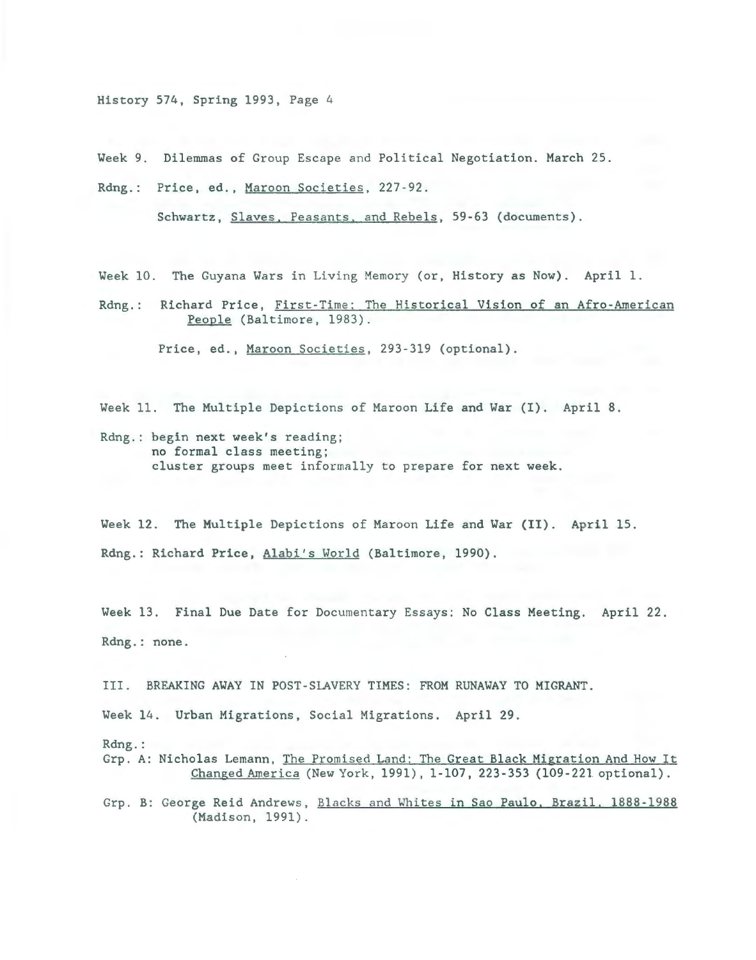Week 9. Dilemmas of Group Escape and Political Negotiation. March 25.

Rdng.: Price, ed., Maroon Societies, 227-92.

Schwartz, Slaves. Peasants, and Rebels, 59-63 (documents).

Week 10. The Guyana Wars in Living Memory (or, History as Now). April l.

Rdng.: Richard Price, First-Time: The Historical Vision of an Afro-American People (Baltimore, 1983) .

Price, ed., Maroon Societies, 293-319 (optional).

Week 11. The Multiple Depictions of Maroon Life and War (I). April 8.

Rdng. : begin next week's reading; no formal class meeting; cluster groups meet informally to prepare for next week.

Week 12. The Multiple Depictions of Maroon Life and War (II). April 15. Rdng.: Richard Price, Alabi's World (Baltimore, 1990).

Week 13. Final Due Date for Documentary Essays: No Class Meeting. April 22. Rdng.: none.

III. BREAKING AWAY IN POST-SLAVERY TIMES: FROM RUNAWAY TO MIGRANT.

Week 14. Urban Migrations, Social Migrations. April 29.

Rdng.:

Grp. A: Nicholas Lemann, The Promised Land: The Great Black Migration And How It Changed America (New York, 1991), 1-107, 223-353 (109-221 optional).

Grp. B: George Reid Andrews, Blacks and Whites in Sao Paulo, Brazil, 1888-1988 (Madison, 1991).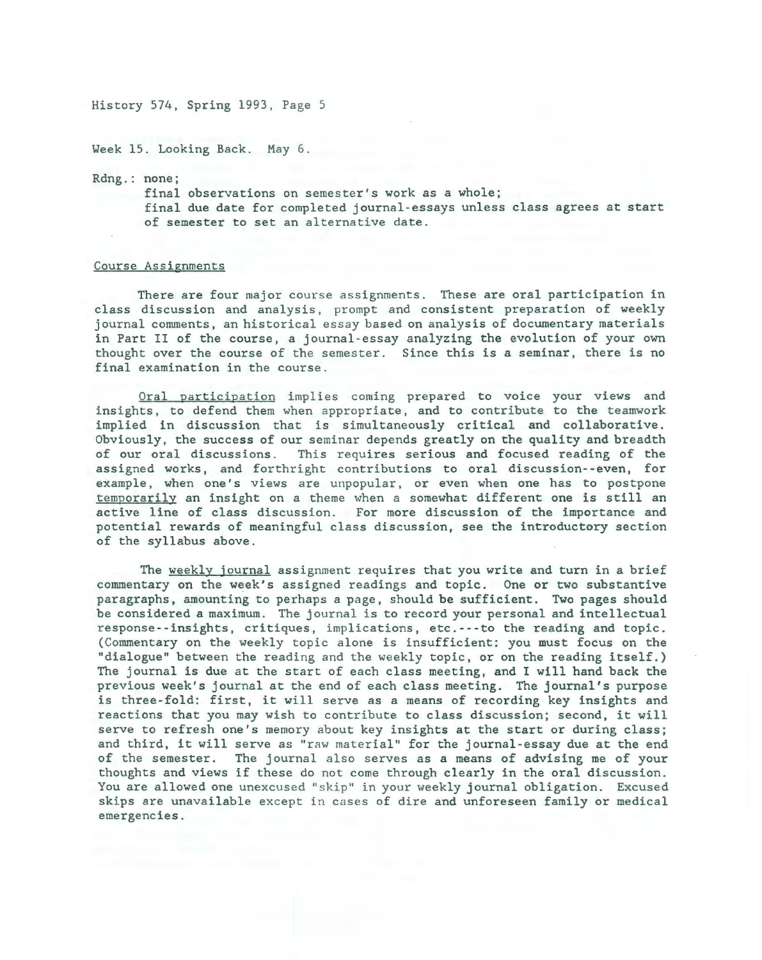Week 15. Looking Back. May 6.

Rdng.: none;

final observations on semester's work as a whole; final due date for completed journal-essays unless class agrees at start of semester to set an alternative date.

#### Course Assignments

There are four major course assignments. These are oral participation in class discussion and analysis, prompt and consistent preparation of weekly journal comments, an historical essay based on analysis of documentary materials in Part II of the course, a journal-essay analyzing the evolution of your own thought over the course of the semester. Since this is a seminar, there is no final examination in the course.

Oral participation implies coming prepared to voice your views and insights, to defend them when appropriate, and to contribute to the teamwork implied in discussion that is simultaneously critical and collaborative. Obviously, the success of our seminar depends greatly on the quality and breadth of our oral discussions. This requires serious and focused reading of the This requires serious and focused reading of the assigned works, and forthright contributions to oral discussion--even, for example, when one's views are unpopular, or even when one has to postpone temporarily an insight on a theme when a somewhat different one is still an active line of class discussion. For more discussion of the importance and potential rewards of meaningful class discussion, see the introductory section of the syllabus above.

The weekly journal assignment requires that you write and turn in a brief commentary on the week's assigned readings and topic. One or two substantive paragraphs, amounting to perhaps a page, should be sufficient. Two pages should be considered a maximum. The journal is to record your personal and intellectual response--insights, critiques, implications, etc. --- to the reading and topic. (Commentary on the weekly topic alone is insufficient: you must focus on the "dialogue" between the reading and the weekly topic, or on the reading itself.) The journal is due at the start of each class meeting, and I will hand back the previous week's journal at the end of each class meeting. The journal's purpose is three-fold: first, it will serve as a means of recording key insights and reactions that you may wish to contribute to class discussion; second, it will serve to refresh one's memory about key insights at the start or during class; and third, it will serve as "raw material" for the journal-essay due at the end of the semester. The journal also serves as a means of advising me of your thoughts and views if these do not come through clearly in the oral discussion. You are allowed one unexcused "skip" in your weekly journal obligation. Excused skips are unavailable except in cases of dire and unforeseen family or medical emergencies.